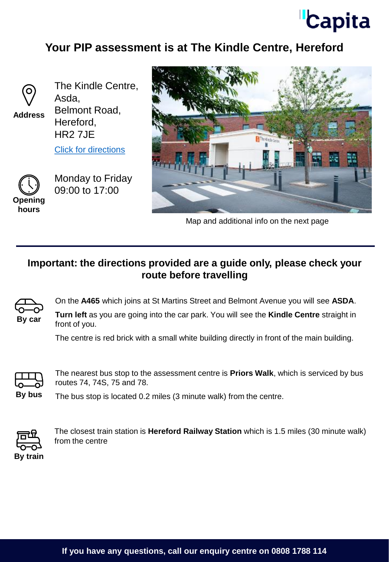## **Capita**

## **Your PIP assessment is at The Kindle Centre, Hereford**



**Address**

The Kindle Centre, Asda, Belmont Road, Hereford,

[Click for directions](https://goo.gl/maps/PhWkCVqbQnpLVTaq6)

HR2 7JE



Monday to Friday 09:00 to 17:00





Map and additional info on the next page

## **Important: the directions provided are a guide only, please check your route before travelling**



On the **A465** which joins at St Martins Street and Belmont Avenue you will see **ASDA**.

**Turn left** as you are going into the car park. You will see the **Kindle Centre** straight in front of you.

The centre is red brick with a small white building directly in front of the main building.



The nearest bus stop to the assessment centre is **Priors Walk**, which is serviced by bus routes 74, 74S, 75 and 78.

**By bus** The bus stop is located 0.2 miles (3 minute walk) from the centre.



The closest train station is **Hereford Railway Station** which is 1.5 miles (30 minute walk) from the centre